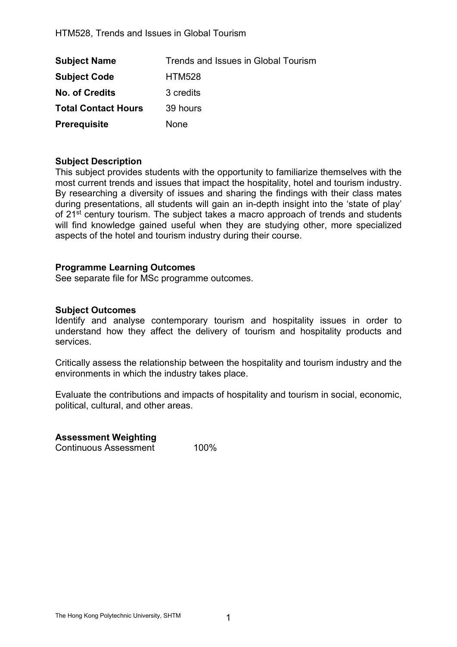| <b>Subject Name</b>        | Trends and Issues in Global Tourism |
|----------------------------|-------------------------------------|
| <b>Subject Code</b>        | <b>HTM528</b>                       |
| <b>No. of Credits</b>      | 3 credits                           |
| <b>Total Contact Hours</b> | 39 hours                            |
| <b>Prerequisite</b>        | None                                |

### Subject Description

This subject provides students with the opportunity to familiarize themselves with the most current trends and issues that impact the hospitality, hotel and tourism industry. By researching a diversity of issues and sharing the findings with their class mates during presentations, all students will gain an in-depth insight into the 'state of play' of 21<sup>st</sup> century tourism. The subject takes a macro approach of trends and students will find knowledge gained useful when they are studying other, more specialized aspects of the hotel and tourism industry during their course.

## Programme Learning Outcomes

See separate file for MSc programme outcomes.

## Subject Outcomes

Identify and analyse contemporary tourism and hospitality issues in order to understand how they affect the delivery of tourism and hospitality products and services.

Critically assess the relationship between the hospitality and tourism industry and the environments in which the industry takes place.

Evaluate the contributions and impacts of hospitality and tourism in social, economic, political, cultural, and other areas.

# Assessment Weighting

Continuous Assessment 100%